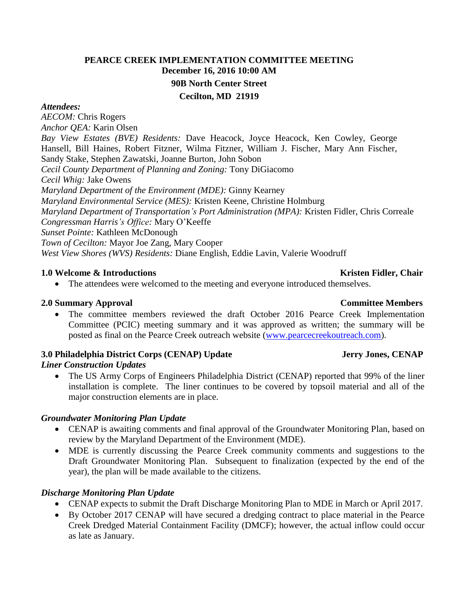### **PEARCE CREEK IMPLEMENTATION COMMITTEE MEETING December 16, 2016 10:00 AM 90B North Center Street Cecilton, MD 21919**

#### *Attendees:*

*AECOM:* Chris Rogers *Anchor QEA:* Karin Olsen *Bay View Estates (BVE) Residents:* Dave Heacock, Joyce Heacock, Ken Cowley, George Hansell, Bill Haines, Robert Fitzner, Wilma Fitzner, William J. Fischer, Mary Ann Fischer, Sandy Stake, Stephen Zawatski, Joanne Burton, John Sobon *Cecil County Department of Planning and Zoning:* Tony DiGiacomo *Cecil Whig:* Jake Owens *Maryland Department of the Environment (MDE):* Ginny Kearney *Maryland Environmental Service (MES):* Kristen Keene, Christine Holmburg *Maryland Department of Transportation's Port Administration (MPA):* Kristen Fidler, Chris Correale *Congressman Harris's Office:* Mary O'Keeffe *Sunset Pointe:* Kathleen McDonough *Town of Cecilton:* Mayor Joe Zang, Mary Cooper *West View Shores (WVS) Residents:* Diane English, Eddie Lavin, Valerie Woodruff

#### **1.0 Welcome & Introductions**  $\bullet$  **Kristen Fidler, Chair**   $\bullet$  **Kristen Fidler, Chair**

• The attendees were welcomed to the meeting and everyone introduced themselves.

#### **2.0 Summary Approval Committee Members**

• The committee members reviewed the draft October 2016 Pearce Creek Implementation Committee (PCIC) meeting summary and it was approved as written; the summary will be posted as final on the Pearce Creek outreach website [\(www.pearcecreekoutreach.com\)](http://www.pearcecreekoutreach.com/).

### **3.0 Philadelphia District Corps (CENAP) Update Jerry Jones, CENAP**

### *Liner Construction Updates*

 The US Army Corps of Engineers Philadelphia District (CENAP) reported that 99% of the liner installation is complete. The liner continues to be covered by topsoil material and all of the major construction elements are in place.

#### *Groundwater Monitoring Plan Update*

- CENAP is awaiting comments and final approval of the Groundwater Monitoring Plan, based on review by the Maryland Department of the Environment (MDE).
- MDE is currently discussing the Pearce Creek community comments and suggestions to the Draft Groundwater Monitoring Plan. Subsequent to finalization (expected by the end of the year), the plan will be made available to the citizens.

### *Discharge Monitoring Plan Update*

- CENAP expects to submit the Draft Discharge Monitoring Plan to MDE in March or April 2017.
- By October 2017 CENAP will have secured a dredging contract to place material in the Pearce Creek Dredged Material Containment Facility (DMCF); however, the actual inflow could occur as late as January.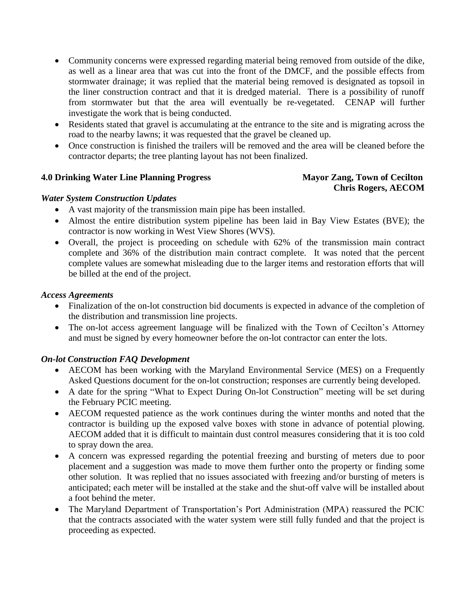- Community concerns were expressed regarding material being removed from outside of the dike, as well as a linear area that was cut into the front of the DMCF, and the possible effects from stormwater drainage; it was replied that the material being removed is designated as topsoil in the liner construction contract and that it is dredged material. There is a possibility of runoff from stormwater but that the area will eventually be re-vegetated. CENAP will further investigate the work that is being conducted.
- Residents stated that gravel is accumulating at the entrance to the site and is migrating across the road to the nearby lawns; it was requested that the gravel be cleaned up.
- Once construction is finished the trailers will be removed and the area will be cleaned before the contractor departs; the tree planting layout has not been finalized.

### **4.0 Drinking Water Line Planning Progress Mayor Zang, Town of Cecilton**

# **Chris Rogers, AECOM**

### *Water System Construction Updates*

- A vast majority of the transmission main pipe has been installed.
- Almost the entire distribution system pipeline has been laid in Bay View Estates (BVE); the contractor is now working in West View Shores (WVS).
- Overall, the project is proceeding on schedule with 62% of the transmission main contract complete and 36% of the distribution main contract complete. It was noted that the percent complete values are somewhat misleading due to the larger items and restoration efforts that will be billed at the end of the project.

#### *Access Agreements*

- Finalization of the on-lot construction bid documents is expected in advance of the completion of the distribution and transmission line projects.
- The on-lot access agreement language will be finalized with the Town of Cecilton's Attorney and must be signed by every homeowner before the on-lot contractor can enter the lots.

### *On-lot Construction FAQ Development*

- AECOM has been working with the Maryland Environmental Service (MES) on a Frequently Asked Questions document for the on-lot construction; responses are currently being developed.
- A date for the spring "What to Expect During On-lot Construction" meeting will be set during the February PCIC meeting.
- AECOM requested patience as the work continues during the winter months and noted that the contractor is building up the exposed valve boxes with stone in advance of potential plowing. AECOM added that it is difficult to maintain dust control measures considering that it is too cold to spray down the area.
- A concern was expressed regarding the potential freezing and bursting of meters due to poor placement and a suggestion was made to move them further onto the property or finding some other solution. It was replied that no issues associated with freezing and/or bursting of meters is anticipated; each meter will be installed at the stake and the shut-off valve will be installed about a foot behind the meter.
- The Maryland Department of Transportation's Port Administration (MPA) reassured the PCIC that the contracts associated with the water system were still fully funded and that the project is proceeding as expected.